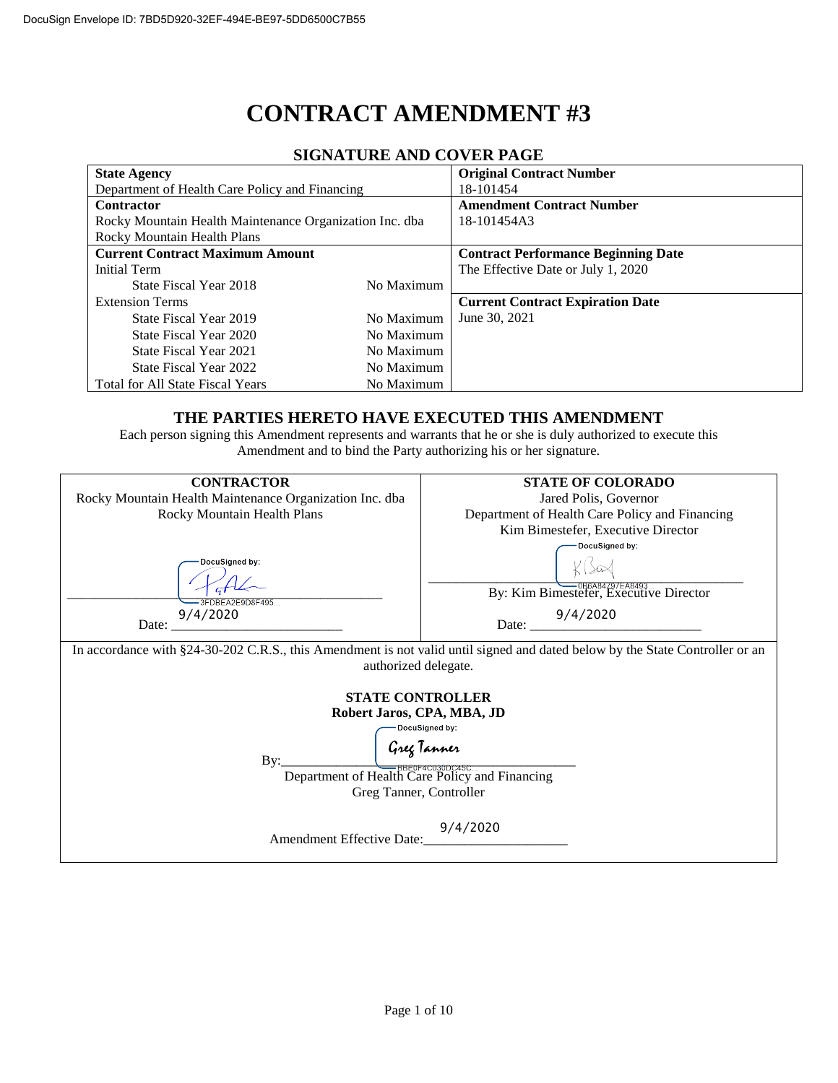# **CONTRACT AMENDMENT #3**

| <b>State Agency</b>                                     |            | <b>Original Contract Number</b>            |  |  |  |  |  |
|---------------------------------------------------------|------------|--------------------------------------------|--|--|--|--|--|
| Department of Health Care Policy and Financing          |            | 18-101454                                  |  |  |  |  |  |
| Contractor                                              |            | <b>Amendment Contract Number</b>           |  |  |  |  |  |
| Rocky Mountain Health Maintenance Organization Inc. dba |            | 18-101454A3                                |  |  |  |  |  |
| Rocky Mountain Health Plans                             |            |                                            |  |  |  |  |  |
| <b>Current Contract Maximum Amount</b>                  |            | <b>Contract Performance Beginning Date</b> |  |  |  |  |  |
| <b>Initial Term</b>                                     |            | The Effective Date or July 1, 2020         |  |  |  |  |  |
| State Fiscal Year 2018                                  | No Maximum |                                            |  |  |  |  |  |
| <b>Extension Terms</b>                                  |            | <b>Current Contract Expiration Date</b>    |  |  |  |  |  |
| State Fiscal Year 2019                                  | No Maximum | June 30, 2021                              |  |  |  |  |  |
| State Fiscal Year 2020                                  | No Maximum |                                            |  |  |  |  |  |
| State Fiscal Year 2021                                  | No Maximum |                                            |  |  |  |  |  |
| State Fiscal Year 2022                                  | No Maximum |                                            |  |  |  |  |  |
| <b>Total for All State Fiscal Years</b>                 | No Maximum |                                            |  |  |  |  |  |

#### **SIGNATURE AND COVER PAGE**

#### **THE PARTIES HERETO HAVE EXECUTED THIS AMENDMENT**

Each person signing this Amendment represents and warrants that he or she is duly authorized to execute this Amendment and to bind the Party authorizing his or her signature.

| <b>CONTRACTOR</b>                                                                                                                                                               | <b>STATE OF COLORADO</b>                       |  |  |  |  |  |
|---------------------------------------------------------------------------------------------------------------------------------------------------------------------------------|------------------------------------------------|--|--|--|--|--|
| Rocky Mountain Health Maintenance Organization Inc. dba                                                                                                                         | Jared Polis, Governor                          |  |  |  |  |  |
| Rocky Mountain Health Plans                                                                                                                                                     | Department of Health Care Policy and Financing |  |  |  |  |  |
|                                                                                                                                                                                 | Kim Bimestefer, Executive Director             |  |  |  |  |  |
|                                                                                                                                                                                 | DocuSigned by:                                 |  |  |  |  |  |
| DocuSigned by:                                                                                                                                                                  |                                                |  |  |  |  |  |
|                                                                                                                                                                                 |                                                |  |  |  |  |  |
| 3FDBFA2F9D8F495                                                                                                                                                                 | By: Kim Bimestefer, Executive Director         |  |  |  |  |  |
| 9/4/2020                                                                                                                                                                        |                                                |  |  |  |  |  |
| Date:<br>the first control of the control of the control of                                                                                                                     | Date: $\frac{9/4/2020}{2}$                     |  |  |  |  |  |
| In accordance with §24-30-202 C.R.S., this Amendment is not valid until signed and dated below by the State Controller or an<br>authorized delegate.<br><b>STATE CONTROLLER</b> |                                                |  |  |  |  |  |
| Robert Jaros, CPA, MBA, JD<br>DocuSigned by:                                                                                                                                    |                                                |  |  |  |  |  |
|                                                                                                                                                                                 |                                                |  |  |  |  |  |
| Greg Tanner<br><del>— BBEOF40030D0450</del><br>By:                                                                                                                              |                                                |  |  |  |  |  |
| Department of Health Care Policy and Financing                                                                                                                                  |                                                |  |  |  |  |  |
| Greg Tanner, Controller                                                                                                                                                         |                                                |  |  |  |  |  |
|                                                                                                                                                                                 |                                                |  |  |  |  |  |
| 9/4/2020                                                                                                                                                                        |                                                |  |  |  |  |  |
| <b>Amendment Effective Date:</b>                                                                                                                                                |                                                |  |  |  |  |  |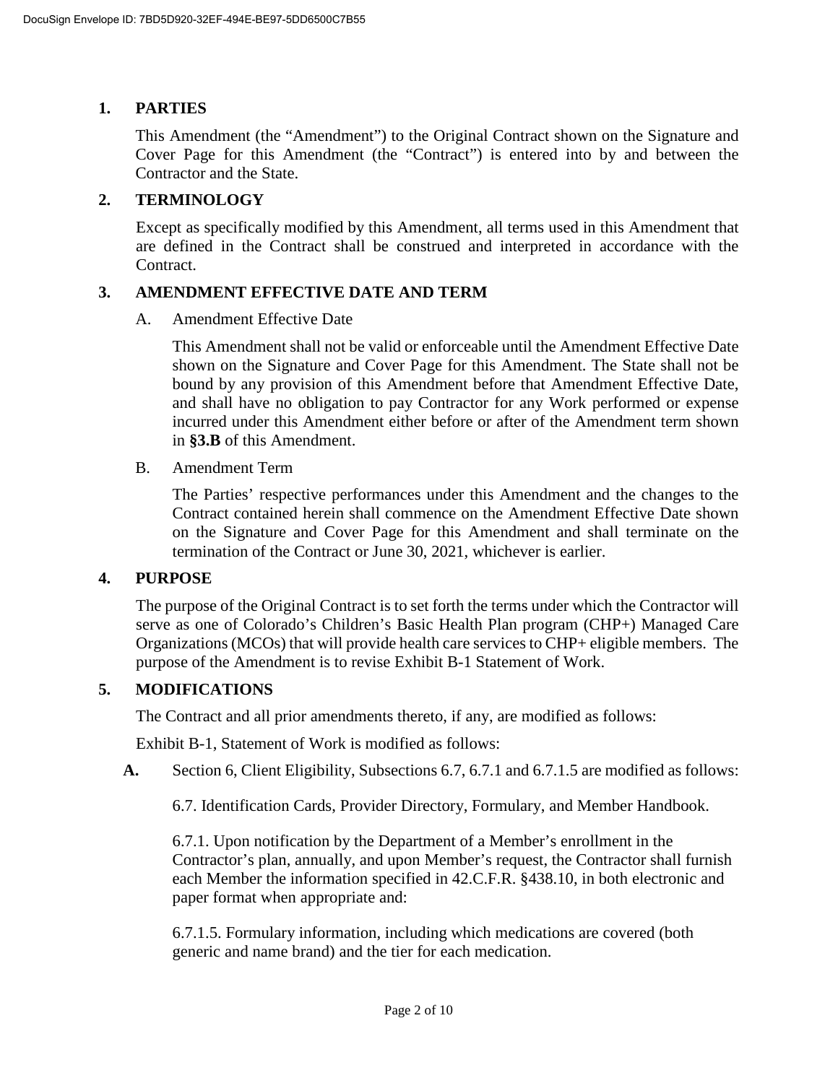# **1. PARTIES**

This Amendment (the "Amendment") to the Original Contract shown on the Signature and Cover Page for this Amendment (the "Contract") is entered into by and between the Contractor and the State.

### **2. TERMINOLOGY**

Except as specifically modified by this Amendment, all terms used in this Amendment that are defined in the Contract shall be construed and interpreted in accordance with the Contract.

#### **3. AMENDMENT EFFECTIVE DATE AND TERM**

A. Amendment Effective Date

This Amendment shall not be valid or enforceable until the Amendment Effective Date shown on the Signature and Cover Page for this Amendment. The State shall not be bound by any provision of this Amendment before that Amendment Effective Date, and shall have no obligation to pay Contractor for any Work performed or expense incurred under this Amendment either before or after of the Amendment term shown in **[§3.B](#page--1-0)** of this Amendment.

B. Amendment Term

The Parties' respective performances under this Amendment and the changes to the Contract contained herein shall commence on the Amendment Effective Date shown on the Signature and Cover Page for this Amendment and shall terminate on the termination of the Contract or June 30, 2021, whichever is earlier.

#### **4. PURPOSE**

The purpose of the Original Contract is to set forth the terms under which the Contractor will serve as one of Colorado's Children's Basic Health Plan program (CHP+) Managed Care Organizations (MCOs) that will provide health care services to CHP+ eligible members. The purpose of the Amendment is to revise Exhibit B-1 Statement of Work.

# **5. MODIFICATIONS**

The Contract and all prior amendments thereto, if any, are modified as follows:

Exhibit B-1, Statement of Work is modified as follows:

**A.** Section 6, Client Eligibility, Subsections 6.7, 6.7.1 and 6.7.1.5 are modified as follows:

6.7. Identification Cards, Provider Directory, Formulary, and Member Handbook.

6.7.1. Upon notification by the Department of a Member's enrollment in the Contractor's plan, annually, and upon Member's request, the Contractor shall furnish each Member the information specified in 42.C.F.R. §438.10, in both electronic and paper format when appropriate and:

6.7.1.5. Formulary information, including which medications are covered (both generic and name brand) and the tier for each medication.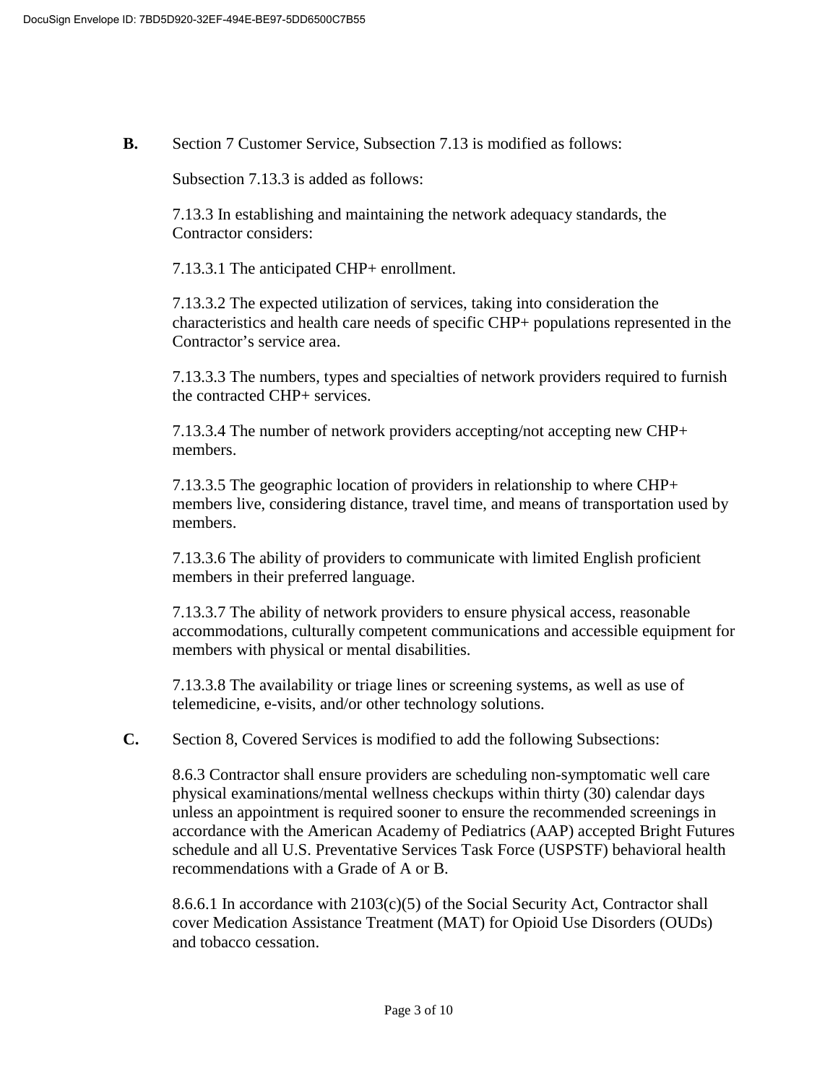**B.** Section 7 Customer Service, Subsection 7.13 is modified as follows:

Subsection 7.13.3 is added as follows:

7.13.3 In establishing and maintaining the network adequacy standards, the Contractor considers:

7.13.3.1 The anticipated CHP+ enrollment.

7.13.3.2 The expected utilization of services, taking into consideration the characteristics and health care needs of specific CHP+ populations represented in the Contractor's service area.

7.13.3.3 The numbers, types and specialties of network providers required to furnish the contracted CHP+ services.

7.13.3.4 The number of network providers accepting/not accepting new CHP+ members.

7.13.3.5 The geographic location of providers in relationship to where CHP+ members live, considering distance, travel time, and means of transportation used by members.

7.13.3.6 The ability of providers to communicate with limited English proficient members in their preferred language.

7.13.3.7 The ability of network providers to ensure physical access, reasonable accommodations, culturally competent communications and accessible equipment for members with physical or mental disabilities.

7.13.3.8 The availability or triage lines or screening systems, as well as use of telemedicine, e-visits, and/or other technology solutions.

**C.** Section 8, Covered Services is modified to add the following Subsections:

8.6.3 Contractor shall ensure providers are scheduling non-symptomatic well care physical examinations/mental wellness checkups within thirty (30) calendar days unless an appointment is required sooner to ensure the recommended screenings in accordance with the American Academy of Pediatrics (AAP) accepted Bright Futures schedule and all U.S. Preventative Services Task Force (USPSTF) behavioral health recommendations with a Grade of A or B.

8.6.6.1 In accordance with  $2103(c)(5)$  of the Social Security Act, Contractor shall cover Medication Assistance Treatment (MAT) for Opioid Use Disorders (OUDs) and tobacco cessation.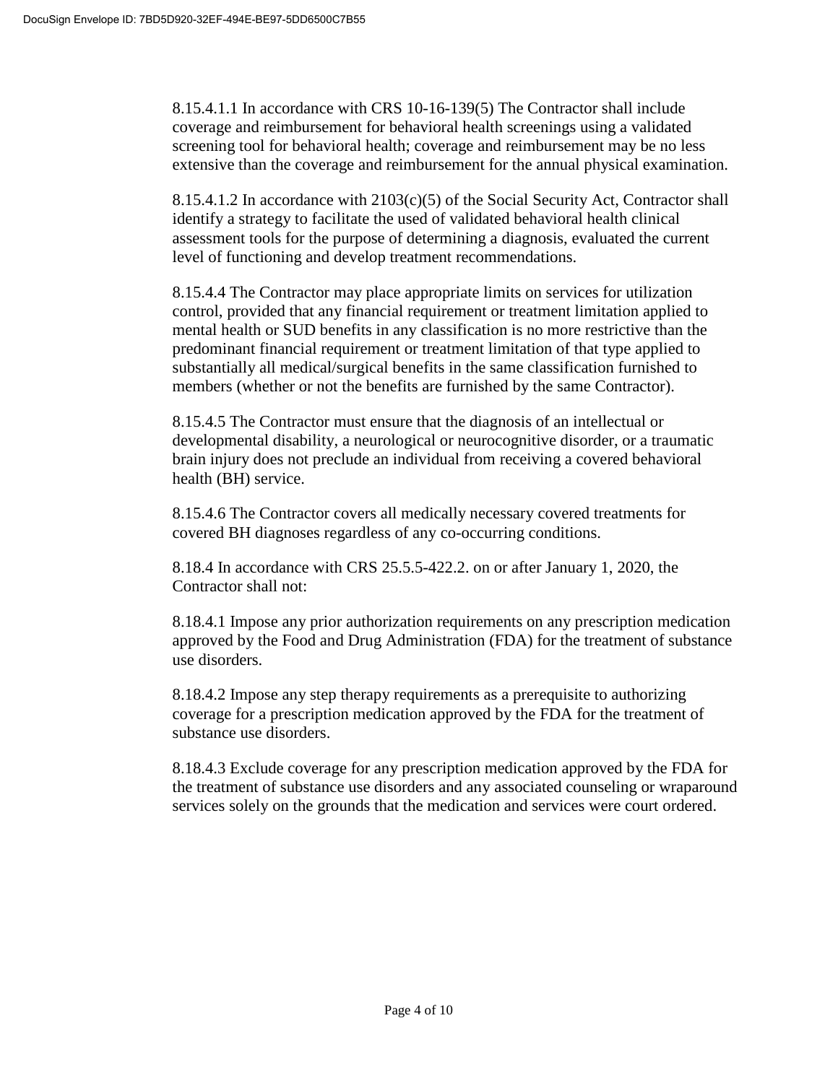8.15.4.1.1 In accordance with CRS 10-16-139(5) The Contractor shall include coverage and reimbursement for behavioral health screenings using a validated screening tool for behavioral health; coverage and reimbursement may be no less extensive than the coverage and reimbursement for the annual physical examination.

8.15.4.1.2 In accordance with 2103(c)(5) of the Social Security Act, Contractor shall identify a strategy to facilitate the used of validated behavioral health clinical assessment tools for the purpose of determining a diagnosis, evaluated the current level of functioning and develop treatment recommendations.

8.15.4.4 The Contractor may place appropriate limits on services for utilization control, provided that any financial requirement or treatment limitation applied to mental health or SUD benefits in any classification is no more restrictive than the predominant financial requirement or treatment limitation of that type applied to substantially all medical/surgical benefits in the same classification furnished to members (whether or not the benefits are furnished by the same Contractor).

8.15.4.5 The Contractor must ensure that the diagnosis of an intellectual or developmental disability, a neurological or neurocognitive disorder, or a traumatic brain injury does not preclude an individual from receiving a covered behavioral health (BH) service.

8.15.4.6 The Contractor covers all medically necessary covered treatments for covered BH diagnoses regardless of any co-occurring conditions.

8.18.4 In accordance with CRS 25.5.5-422.2. on or after January 1, 2020, the Contractor shall not:

8.18.4.1 Impose any prior authorization requirements on any prescription medication approved by the Food and Drug Administration (FDA) for the treatment of substance use disorders.

8.18.4.2 Impose any step therapy requirements as a prerequisite to authorizing coverage for a prescription medication approved by the FDA for the treatment of substance use disorders.

8.18.4.3 Exclude coverage for any prescription medication approved by the FDA for the treatment of substance use disorders and any associated counseling or wraparound services solely on the grounds that the medication and services were court ordered.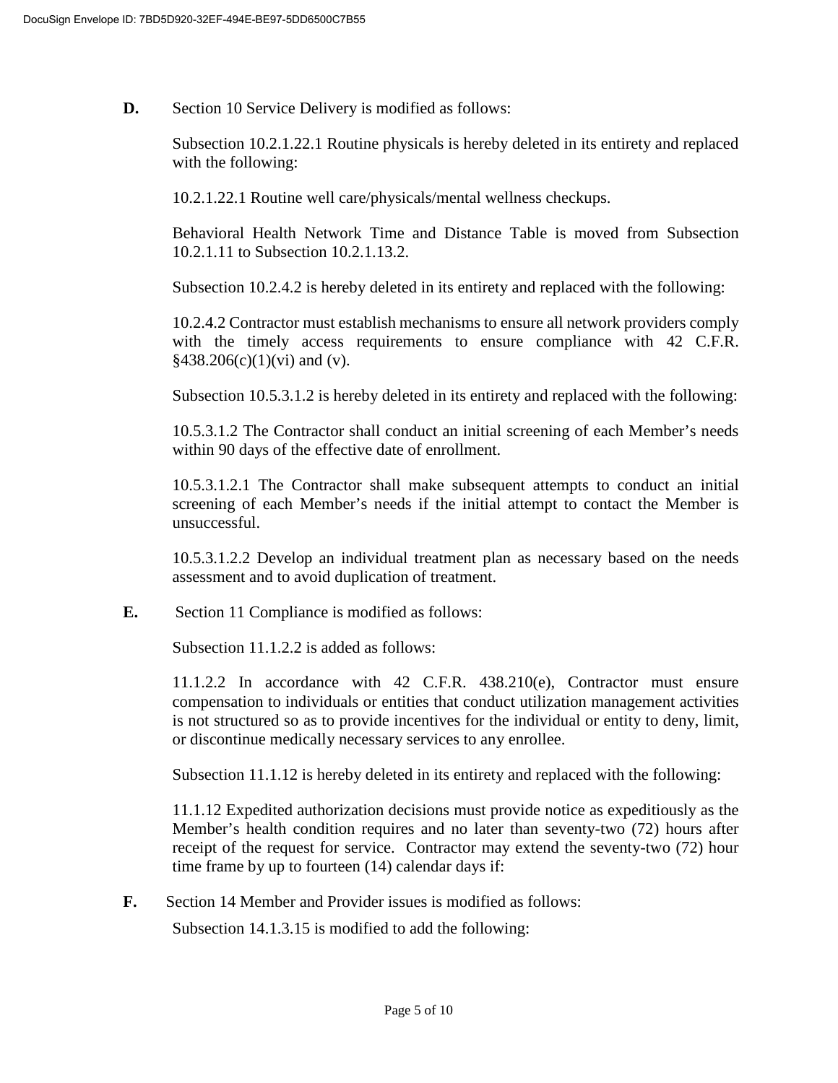**D.** Section 10 Service Delivery is modified as follows:

Subsection 10.2.1.22.1 Routine physicals is hereby deleted in its entirety and replaced with the following:

10.2.1.22.1 Routine well care/physicals/mental wellness checkups.

Behavioral Health Network Time and Distance Table is moved from Subsection 10.2.1.11 to Subsection 10.2.1.13.2.

Subsection 10.2.4.2 is hereby deleted in its entirety and replaced with the following:

10.2.4.2 Contractor must establish mechanisms to ensure all network providers comply with the timely access requirements to ensure compliance with 42 C.F.R.  $§438.206(c)(1)(vi)$  and (v).

Subsection 10.5.3.1.2 is hereby deleted in its entirety and replaced with the following:

10.5.3.1.2 The Contractor shall conduct an initial screening of each Member's needs within 90 days of the effective date of enrollment.

10.5.3.1.2.1 The Contractor shall make subsequent attempts to conduct an initial screening of each Member's needs if the initial attempt to contact the Member is unsuccessful.

10.5.3.1.2.2 Develop an individual treatment plan as necessary based on the needs assessment and to avoid duplication of treatment.

**E.** Section 11 Compliance is modified as follows:

Subsection 11.1.2.2 is added as follows:

11.1.2.2 In accordance with 42 C.F.R. 438.210(e), Contractor must ensure compensation to individuals or entities that conduct utilization management activities is not structured so as to provide incentives for the individual or entity to deny, limit, or discontinue medically necessary services to any enrollee.

Subsection 11.1.12 is hereby deleted in its entirety and replaced with the following:

11.1.12 Expedited authorization decisions must provide notice as expeditiously as the Member's health condition requires and no later than seventy-two (72) hours after receipt of the request for service. Contractor may extend the seventy-two (72) hour time frame by up to fourteen (14) calendar days if:

**F.** Section 14 Member and Provider issues is modified as follows:

Subsection 14.1.3.15 is modified to add the following: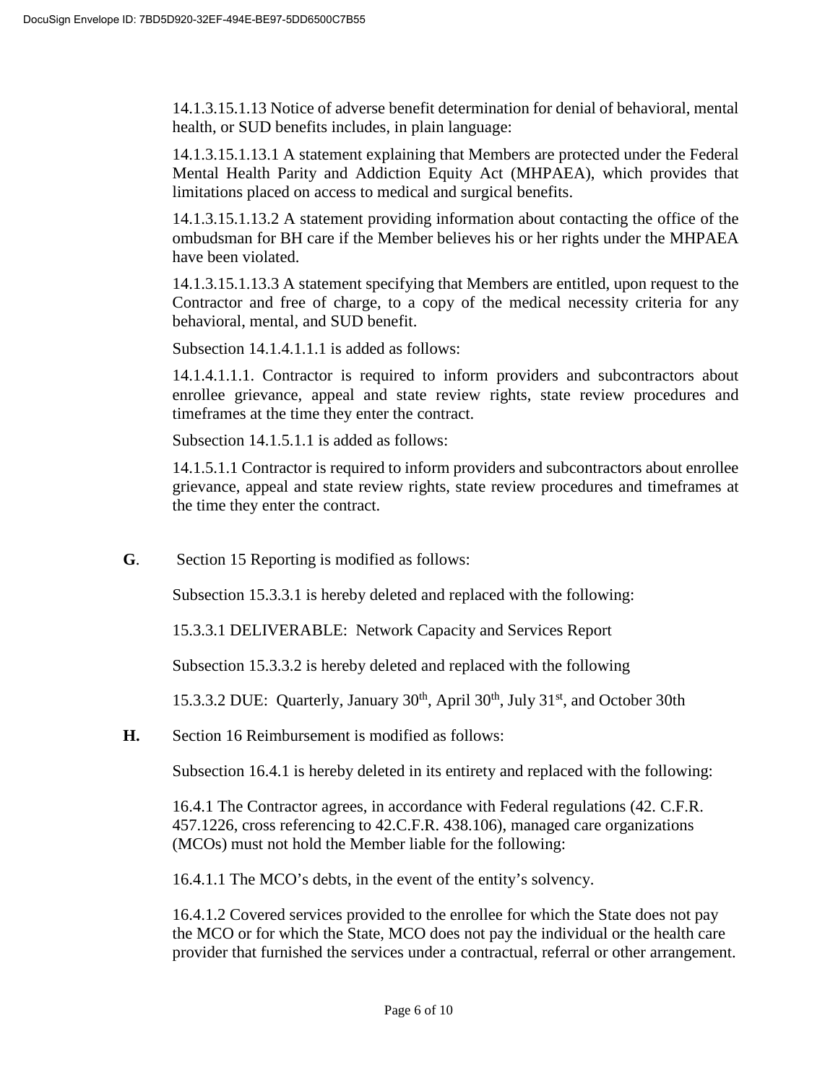14.1.3.15.1.13 Notice of adverse benefit determination for denial of behavioral, mental health, or SUD benefits includes, in plain language:

14.1.3.15.1.13.1 A statement explaining that Members are protected under the Federal Mental Health Parity and Addiction Equity Act (MHPAEA), which provides that limitations placed on access to medical and surgical benefits.

14.1.3.15.1.13.2 A statement providing information about contacting the office of the ombudsman for BH care if the Member believes his or her rights under the MHPAEA have been violated.

14.1.3.15.1.13.3 A statement specifying that Members are entitled, upon request to the Contractor and free of charge, to a copy of the medical necessity criteria for any behavioral, mental, and SUD benefit.

Subsection 14.1.4.1.1.1 is added as follows:

14.1.4.1.1.1. Contractor is required to inform providers and subcontractors about enrollee grievance, appeal and state review rights, state review procedures and timeframes at the time they enter the contract.

Subsection 14.1.5.1.1 is added as follows:

14.1.5.1.1 Contractor is required to inform providers and subcontractors about enrollee grievance, appeal and state review rights, state review procedures and timeframes at the time they enter the contract.

**G**. Section 15 Reporting is modified as follows:

Subsection 15.3.3.1 is hereby deleted and replaced with the following:

15.3.3.1 DELIVERABLE: Network Capacity and Services Report

Subsection 15.3.3.2 is hereby deleted and replaced with the following

15.3.3.2 DUE: Quarterly, January  $30<sup>th</sup>$ , April  $30<sup>th</sup>$ , July  $31<sup>st</sup>$ , and October 30th

**H.** Section 16 Reimbursement is modified as follows:

Subsection 16.4.1 is hereby deleted in its entirety and replaced with the following:

16.4.1 The Contractor agrees, in accordance with Federal regulations (42. C.F.R. 457.1226, cross referencing to 42.C.F.R. 438.106), managed care organizations (MCOs) must not hold the Member liable for the following:

16.4.1.1 The MCO's debts, in the event of the entity's solvency.

16.4.1.2 Covered services provided to the enrollee for which the State does not pay the MCO or for which the State, MCO does not pay the individual or the health care provider that furnished the services under a contractual, referral or other arrangement.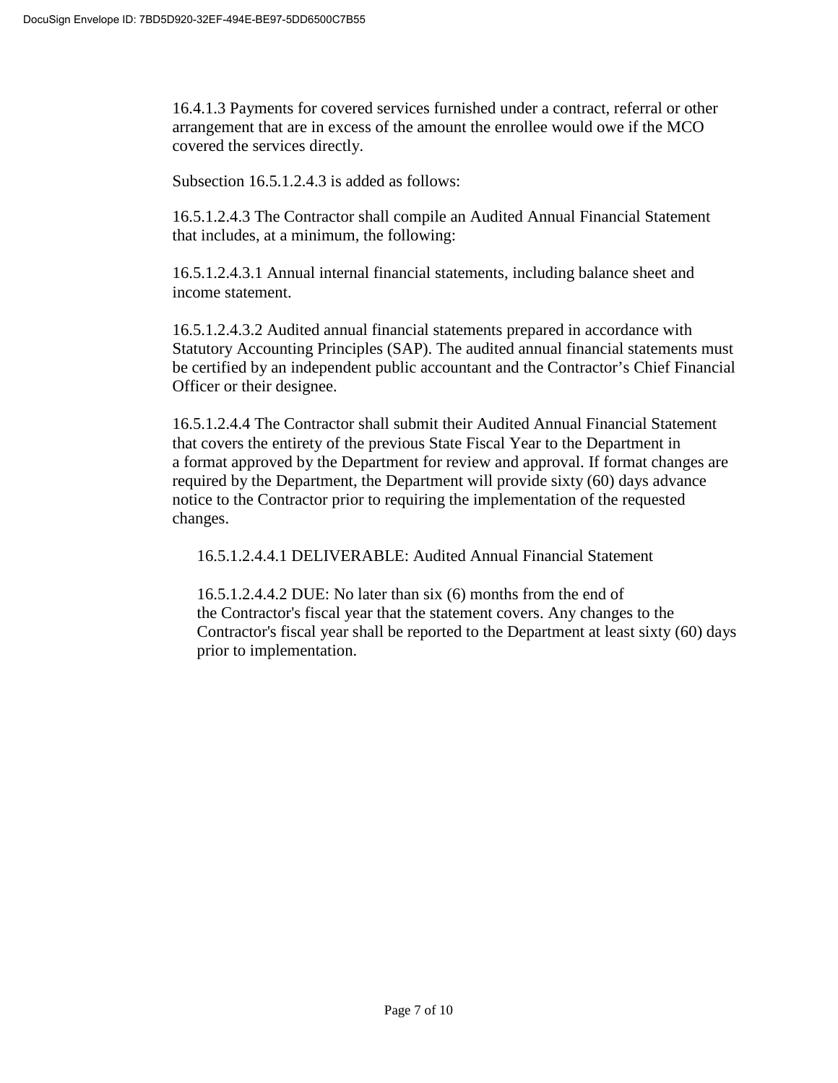16.4.1.3 Payments for covered services furnished under a contract, referral or other arrangement that are in excess of the amount the enrollee would owe if the MCO covered the services directly.

Subsection 16.5.1.2.4.3 is added as follows:

16.5.1.2.4.3 The Contractor shall compile an Audited Annual Financial Statement that includes, at a minimum, the following:

16.5.1.2.4.3.1 Annual internal financial statements, including balance sheet and income statement.

16.5.1.2.4.3.2 Audited annual financial statements prepared in accordance with Statutory Accounting Principles (SAP). The audited annual financial statements must be certified by an independent public accountant and the Contractor's Chief Financial Officer or their designee.

16.5.1.2.4.4 The Contractor shall submit their Audited Annual Financial Statement that covers the entirety of the previous State Fiscal Year to the Department in a format approved by the Department for review and approval. If format changes are required by the Department, the Department will provide sixty (60) days advance notice to the Contractor prior to requiring the implementation of the requested changes.

16.5.1.2.4.4.1 DELIVERABLE: Audited Annual Financial Statement

16.5.1.2.4.4.2 DUE: No later than six (6) months from the end of the Contractor's fiscal year that the statement covers. Any changes to the Contractor's fiscal year shall be reported to the Department at least sixty (60) days prior to implementation.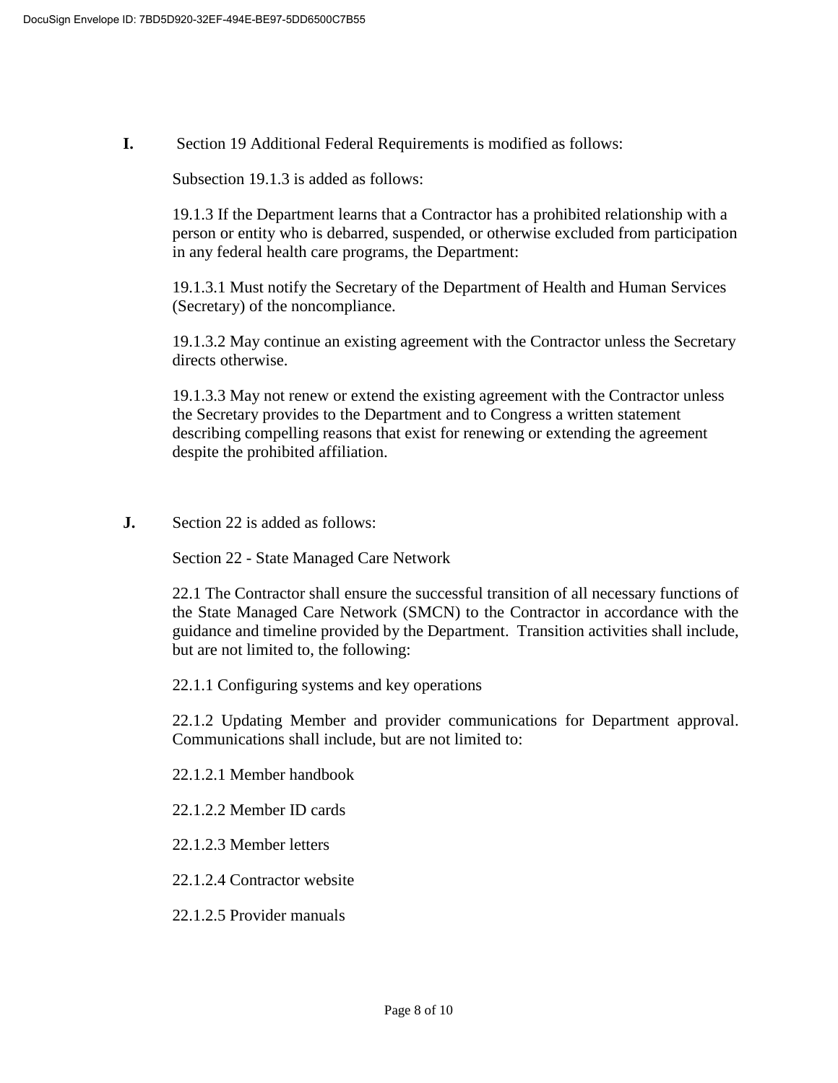**I.** Section 19 Additional Federal Requirements is modified as follows:

Subsection 19.1.3 is added as follows:

19.1.3 If the Department learns that a Contractor has a prohibited relationship with a person or entity who is debarred, suspended, or otherwise excluded from participation in any federal health care programs, the Department:

19.1.3.1 Must notify the Secretary of the Department of Health and Human Services (Secretary) of the noncompliance.

19.1.3.2 May continue an existing agreement with the Contractor unless the Secretary directs otherwise.

19.1.3.3 May not renew or extend the existing agreement with the Contractor unless the Secretary provides to the Department and to Congress a written statement describing compelling reasons that exist for renewing or extending the agreement despite the prohibited affiliation.

**J.** Section 22 is added as follows:

Section 22 - State Managed Care Network

22.1 The Contractor shall ensure the successful transition of all necessary functions of the State Managed Care Network (SMCN) to the Contractor in accordance with the guidance and timeline provided by the Department. Transition activities shall include, but are not limited to, the following:

22.1.1 Configuring systems and key operations

22.1.2 Updating Member and provider communications for Department approval. Communications shall include, but are not limited to:

22.1.2.1 Member handbook

22.1.2.2 Member ID cards

22.1.2.3 Member letters

22.1.2.4 Contractor website

22.1.2.5 Provider manuals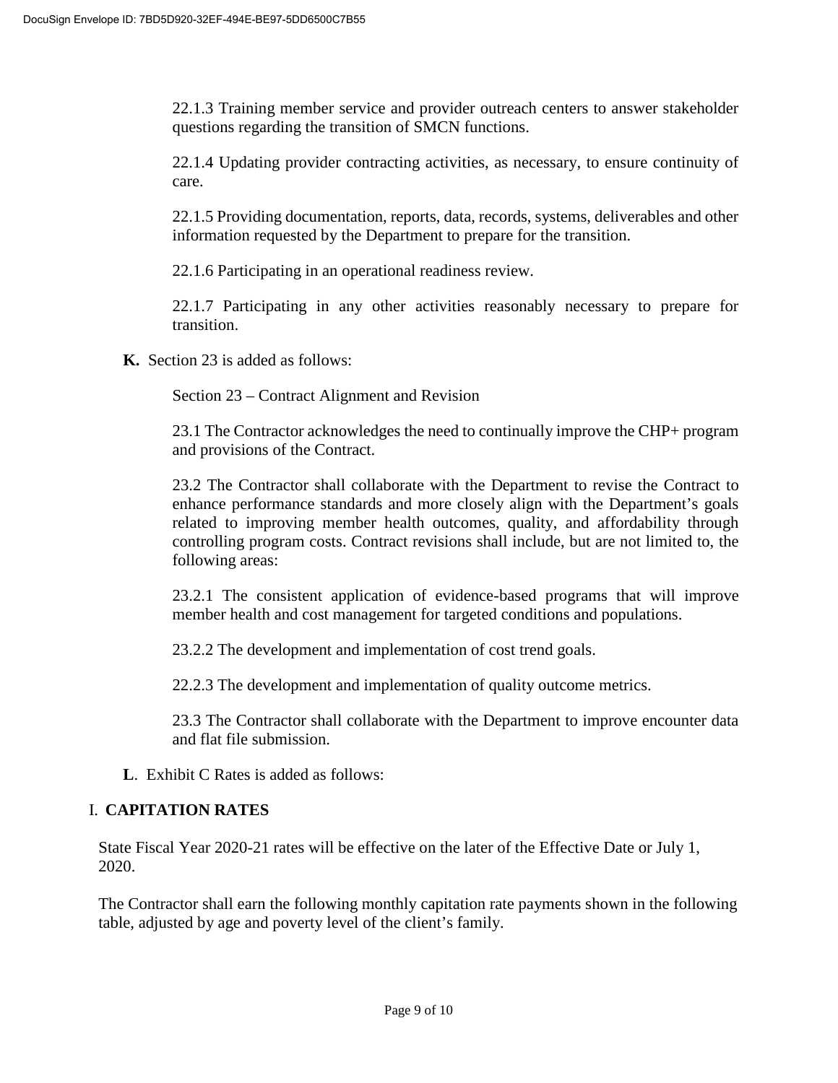22.1.3 Training member service and provider outreach centers to answer stakeholder questions regarding the transition of SMCN functions.

22.1.4 Updating provider contracting activities, as necessary, to ensure continuity of care.

22.1.5 Providing documentation, reports, data, records, systems, deliverables and other information requested by the Department to prepare for the transition.

22.1.6 Participating in an operational readiness review.

22.1.7 Participating in any other activities reasonably necessary to prepare for transition.

**K.** Section 23 is added as follows:

Section 23 – Contract Alignment and Revision

23.1 The Contractor acknowledges the need to continually improve the CHP+ program and provisions of the Contract.

23.2 The Contractor shall collaborate with the Department to revise the Contract to enhance performance standards and more closely align with the Department's goals related to improving member health outcomes, quality, and affordability through controlling program costs. Contract revisions shall include, but are not limited to, the following areas:

23.2.1 The consistent application of evidence-based programs that will improve member health and cost management for targeted conditions and populations.

23.2.2 The development and implementation of cost trend goals.

22.2.3 The development and implementation of quality outcome metrics.

23.3 The Contractor shall collaborate with the Department to improve encounter data and flat file submission.

**L**. Exhibit C Rates is added as follows:

# I. **CAPITATION RATES**

State Fiscal Year 2020-21 rates will be effective on the later of the Effective Date or July 1, 2020.

The Contractor shall earn the following monthly capitation rate payments shown in the following table, adjusted by age and poverty level of the client's family.